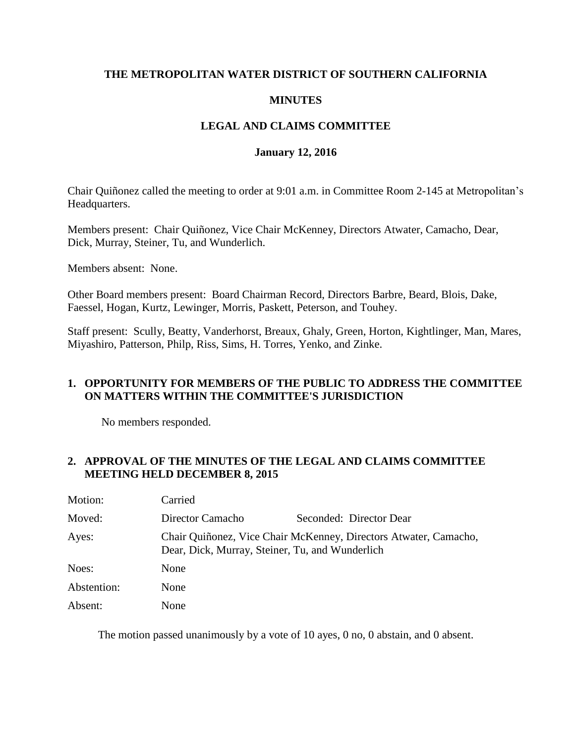## **THE METROPOLITAN WATER DISTRICT OF SOUTHERN CALIFORNIA**

## **MINUTES**

# **LEGAL AND CLAIMS COMMITTEE**

#### **January 12, 2016**

Chair Quiñonez called the meeting to order at 9:01 a.m. in Committee Room 2-145 at Metropolitan's Headquarters.

Members present: Chair Quiñonez, Vice Chair McKenney, Directors Atwater, Camacho, Dear, Dick, Murray, Steiner, Tu, and Wunderlich.

Members absent: None.

Other Board members present: Board Chairman Record, Directors Barbre, Beard, Blois, Dake, Faessel, Hogan, Kurtz, Lewinger, Morris, Paskett, Peterson, and Touhey.

Staff present: Scully, Beatty, Vanderhorst, Breaux, Ghaly, Green, Horton, Kightlinger, Man, Mares, Miyashiro, Patterson, Philp, Riss, Sims, H. Torres, Yenko, and Zinke.

# **1. OPPORTUNITY FOR MEMBERS OF THE PUBLIC TO ADDRESS THE COMMITTEE ON MATTERS WITHIN THE COMMITTEE'S JURISDICTION**

No members responded.

### **2. APPROVAL OF THE MINUTES OF THE LEGAL AND CLAIMS COMMITTEE MEETING HELD DECEMBER 8, 2015**

| Motion:     | Carried                                                                                                             |                         |
|-------------|---------------------------------------------------------------------------------------------------------------------|-------------------------|
| Moved:      | Director Camacho                                                                                                    | Seconded: Director Dear |
| Ayes:       | Chair Quiñonez, Vice Chair McKenney, Directors Atwater, Camacho,<br>Dear, Dick, Murray, Steiner, Tu, and Wunderlich |                         |
| Noes:       | None                                                                                                                |                         |
| Abstention: | None                                                                                                                |                         |
| Absent:     | None                                                                                                                |                         |

The motion passed unanimously by a vote of 10 ayes, 0 no, 0 abstain, and 0 absent.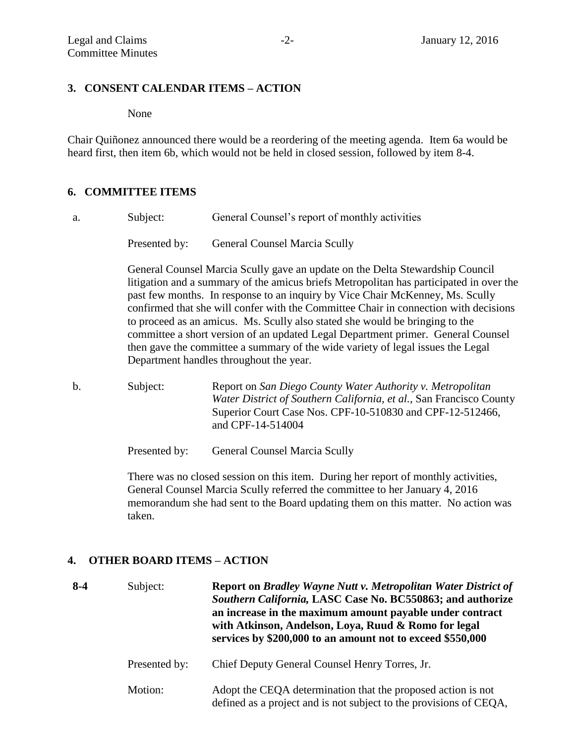## **3. CONSENT CALENDAR ITEMS – ACTION**

None

Chair Quiñonez announced there would be a reordering of the meeting agenda. Item 6a would be heard first, then item 6b, which would not be held in closed session, followed by item 8-4.

### **6. COMMITTEE ITEMS**

a. Subject: General Counsel's report of monthly activities

Presented by: General Counsel Marcia Scully

General Counsel Marcia Scully gave an update on the Delta Stewardship Council litigation and a summary of the amicus briefs Metropolitan has participated in over the past few months. In response to an inquiry by Vice Chair McKenney, Ms. Scully confirmed that she will confer with the Committee Chair in connection with decisions to proceed as an amicus. Ms. Scully also stated she would be bringing to the committee a short version of an updated Legal Department primer. General Counsel then gave the committee a summary of the wide variety of legal issues the Legal Department handles throughout the year.

b. Subject: Report on *San Diego County Water Authority v. Metropolitan Water District of Southern California, et al.*, San Francisco County Superior Court Case Nos. CPF-10-510830 and CPF-12-512466, and CPF-14-514004

Presented by: General Counsel Marcia Scully

There was no closed session on this item. During her report of monthly activities, General Counsel Marcia Scully referred the committee to her January 4, 2016 memorandum she had sent to the Board updating them on this matter. No action was taken.

# **4. OTHER BOARD ITEMS – ACTION**

| $8-4$ | Subject:      | <b>Report on Bradley Wayne Nutt v. Metropolitan Water District of</b><br>Southern California, LASC Case No. BC550863; and authorize<br>an increase in the maximum amount payable under contract<br>with Atkinson, Andelson, Loya, Ruud & Romo for legal<br>services by \$200,000 to an amount not to exceed \$550,000 |
|-------|---------------|-----------------------------------------------------------------------------------------------------------------------------------------------------------------------------------------------------------------------------------------------------------------------------------------------------------------------|
|       | Presented by: | Chief Deputy General Counsel Henry Torres, Jr.                                                                                                                                                                                                                                                                        |
|       | Motion:       | Adopt the CEQA determination that the proposed action is not<br>defined as a project and is not subject to the provisions of CEQA,                                                                                                                                                                                    |